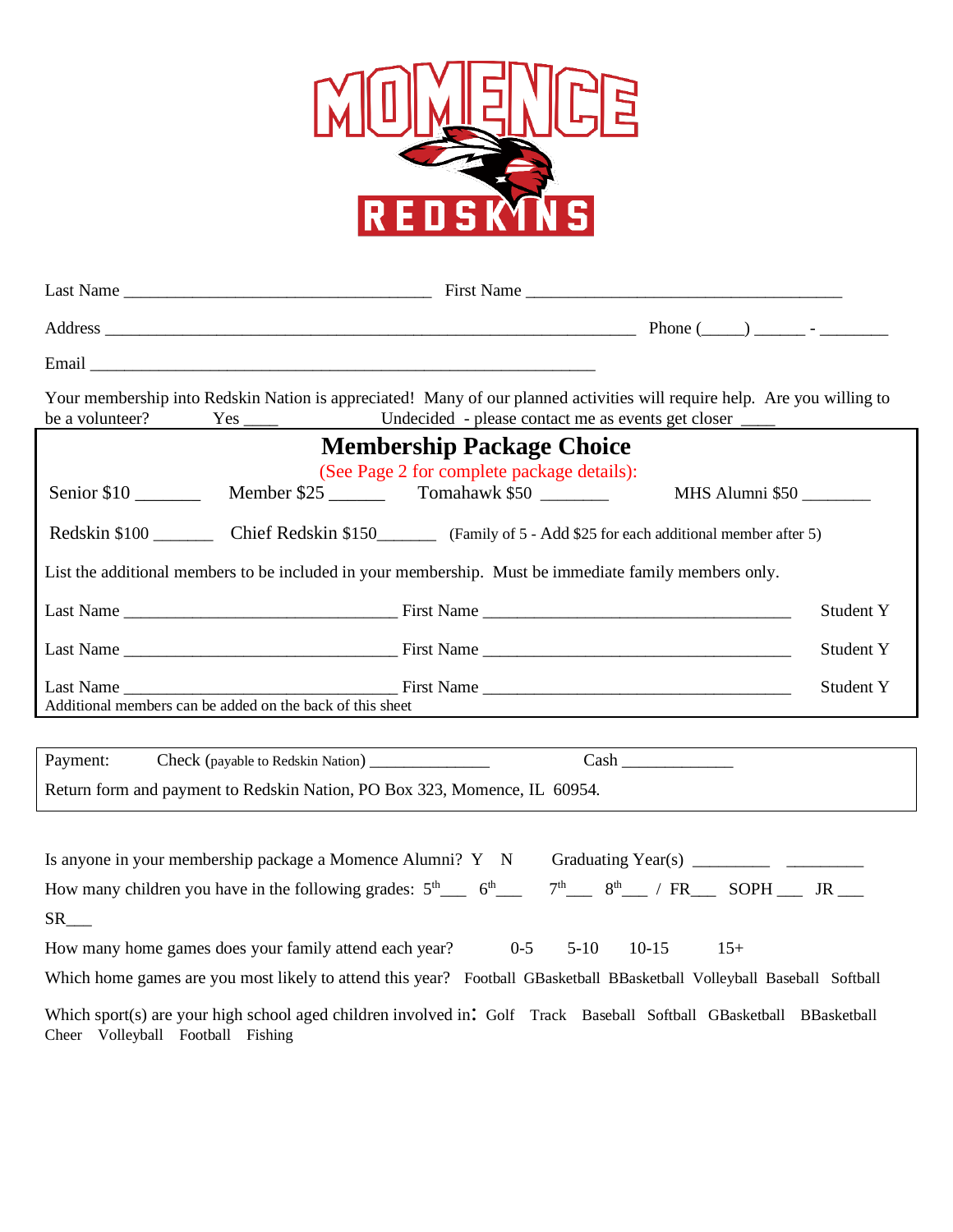

| Your membership into Redskin Nation is appreciated! Many of our planned activities will require help. Are you willing to<br>be a volunteer?                 |                           |                 |
|-------------------------------------------------------------------------------------------------------------------------------------------------------------|---------------------------|-----------------|
| <b>Membership Package Choice</b><br>(See Page 2 for complete package details):                                                                              |                           |                 |
|                                                                                                                                                             | Member \$25 Tomahawk \$50 | MHS Alumni \$50 |
| Redskin \$100 Chief Redskin \$150 Family of 5 - Add \$25 for each additional member after 5)                                                                |                           |                 |
| List the additional members to be included in your membership. Must be immediate family members only.                                                       |                           |                 |
|                                                                                                                                                             |                           | Student Y       |
|                                                                                                                                                             |                           | Student Y       |
| Additional members can be added on the back of this sheet                                                                                                   |                           | Student Y       |
|                                                                                                                                                             |                           |                 |
| Payment:                                                                                                                                                    |                           |                 |
| Return form and payment to Redskin Nation, PO Box 323, Momence, IL 60954.                                                                                   |                           |                 |
|                                                                                                                                                             |                           |                 |
|                                                                                                                                                             |                           |                 |
| How many children you have in the following grades: $5^{\text{th}}$ $6^{\text{th}}$ $7^{\text{th}}$ $7^{\text{th}}$ $8^{\text{th}}$ / FR SOPH $\text{N}$ JR |                           |                 |
| $SR$ <sub>___</sub>                                                                                                                                         |                           |                 |
| How many home games does your family attend each year? 0-5 5-10 10-15 15+                                                                                   |                           |                 |
| Which home games are you most likely to attend this year? Football GBasketball BBasketball Volleyball Baseball Softball                                     |                           |                 |
| Which sport(s) are your high school aged children involved in: Golf Track Baseball Softball GBasketball BBasketball<br>Cheer Volleyball Football Fishing    |                           |                 |